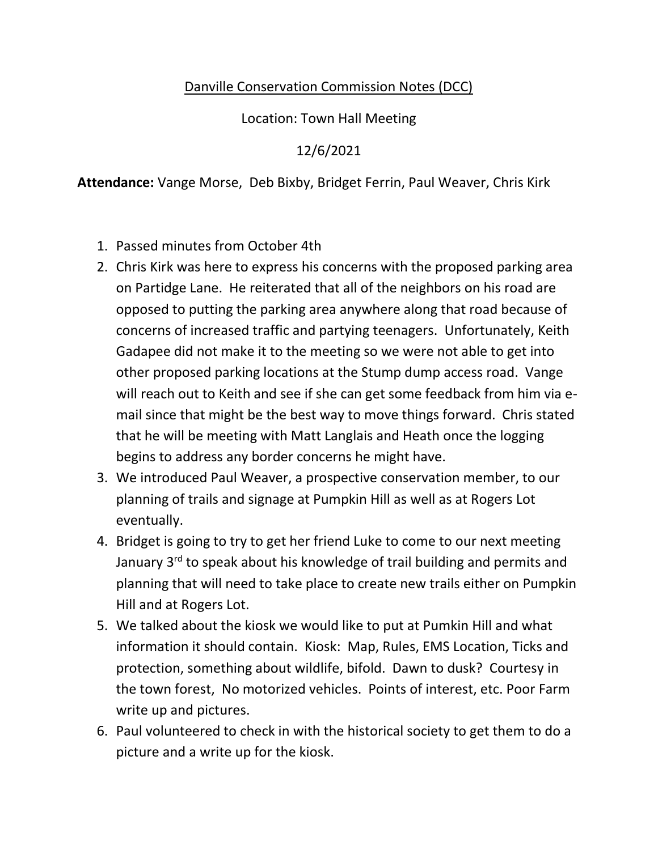## Danville Conservation Commission Notes (DCC)

Location: Town Hall Meeting

12/6/2021

**Attendance:** Vange Morse, Deb Bixby, Bridget Ferrin, Paul Weaver, Chris Kirk

- 1. Passed minutes from October 4th
- 2. Chris Kirk was here to express his concerns with the proposed parking area on Partidge Lane. He reiterated that all of the neighbors on his road are opposed to putting the parking area anywhere along that road because of concerns of increased traffic and partying teenagers. Unfortunately, Keith Gadapee did not make it to the meeting so we were not able to get into other proposed parking locations at the Stump dump access road. Vange will reach out to Keith and see if she can get some feedback from him via email since that might be the best way to move things forward. Chris stated that he will be meeting with Matt Langlais and Heath once the logging begins to address any border concerns he might have.
- 3. We introduced Paul Weaver, a prospective conservation member, to our planning of trails and signage at Pumpkin Hill as well as at Rogers Lot eventually.
- 4. Bridget is going to try to get her friend Luke to come to our next meeting January 3<sup>rd</sup> to speak about his knowledge of trail building and permits and planning that will need to take place to create new trails either on Pumpkin Hill and at Rogers Lot.
- 5. We talked about the kiosk we would like to put at Pumkin Hill and what information it should contain. Kiosk: Map, Rules, EMS Location, Ticks and protection, something about wildlife, bifold. Dawn to dusk? Courtesy in the town forest, No motorized vehicles. Points of interest, etc. Poor Farm write up and pictures.
- 6. Paul volunteered to check in with the historical society to get them to do a picture and a write up for the kiosk.